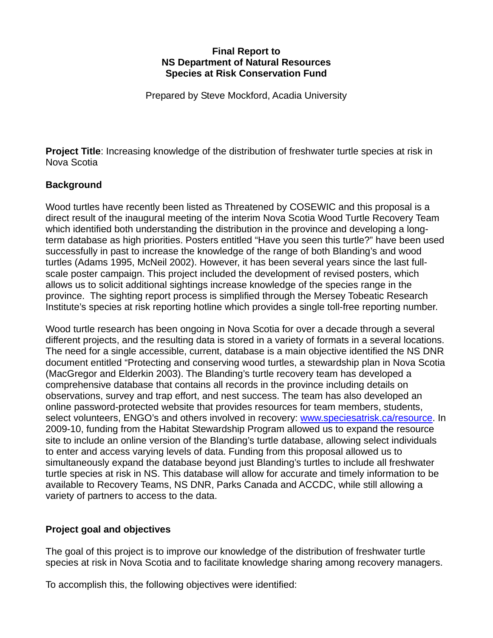#### **Final Report to NS Department of Natural Resources Species at Risk Conservation Fund**

Prepared by Steve Mockford, Acadia University

**Project Title**: Increasing knowledge of the distribution of freshwater turtle species at risk in Nova Scotia

# **Background**

Wood turtles have recently been listed as Threatened by COSEWIC and this proposal is a direct result of the inaugural meeting of the interim Nova Scotia Wood Turtle Recovery Team which identified both understanding the distribution in the province and developing a longterm database as high priorities. Posters entitled "Have you seen this turtle?" have been used successfully in past to increase the knowledge of the range of both Blanding's and wood turtles (Adams 1995, McNeil 2002). However, it has been several years since the last fullscale poster campaign. This project included the development of revised posters, which allows us to solicit additional sightings increase knowledge of the species range in the province. The sighting report process is simplified through the Mersey Tobeatic Research Institute's species at risk reporting hotline which provides a single toll-free reporting number.

Wood turtle research has been ongoing in Nova Scotia for over a decade through a several different projects, and the resulting data is stored in a variety of formats in a several locations. The need for a single accessible, current, database is a main objective identified the NS DNR document entitled "Protecting and conserving wood turtles, a stewardship plan in Nova Scotia (MacGregor and Elderkin 2003). The Blanding's turtle recovery team has developed a comprehensive database that contains all records in the province including details on observations, survey and trap effort, and nest success. The team has also developed an online password-protected website that provides resources for team members, students, select volunteers, ENGO's and others involved in recovery: [www.speciesatrisk.ca/resource](http://www.specieatrisk.ca/resource). In 2009-10, funding from the Habitat Stewardship Program allowed us to expand the resource site to include an online version of the Blanding's turtle database, allowing select individuals to enter and access varying levels of data. Funding from this proposal allowed us to simultaneously expand the database beyond just Blanding's turtles to include all freshwater turtle species at risk in NS. This database will allow for accurate and timely information to be available to Recovery Teams, NS DNR, Parks Canada and ACCDC, while still allowing a variety of partners to access to the data.

### **Project goal and objectives**

The goal of this project is to improve our knowledge of the distribution of freshwater turtle species at risk in Nova Scotia and to facilitate knowledge sharing among recovery managers.

To accomplish this, the following objectives were identified: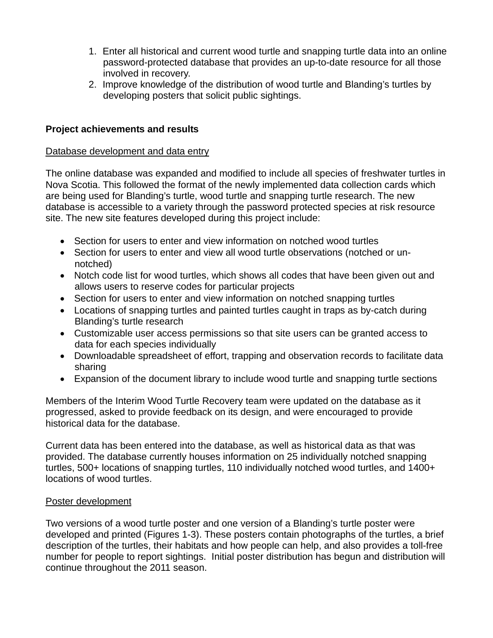- 1. Enter all historical and current wood turtle and snapping turtle data into an online password-protected database that provides an up-to-date resource for all those involved in recovery.
- 2. Improve knowledge of the distribution of wood turtle and Blanding's turtles by developing posters that solicit public sightings.

### **Project achievements and results**

#### Database development and data entry

The online database was expanded and modified to include all species of freshwater turtles in Nova Scotia. This followed the format of the newly implemented data collection cards which are being used for Blanding's turtle, wood turtle and snapping turtle research. The new database is accessible to a variety through the password protected species at risk resource site. The new site features developed during this project include:

- Section for users to enter and view information on notched wood turtles
- Section for users to enter and view all wood turtle observations (notched or unnotched)
- Notch code list for wood turtles, which shows all codes that have been given out and allows users to reserve codes for particular projects
- Section for users to enter and view information on notched snapping turtles
- Locations of snapping turtles and painted turtles caught in traps as by-catch during Blanding's turtle research
- Customizable user access permissions so that site users can be granted access to data for each species individually
- Downloadable spreadsheet of effort, trapping and observation records to facilitate data sharing
- Expansion of the document library to include wood turtle and snapping turtle sections

Members of the Interim Wood Turtle Recovery team were updated on the database as it progressed, asked to provide feedback on its design, and were encouraged to provide historical data for the database.

Current data has been entered into the database, as well as historical data as that was provided. The database currently houses information on 25 individually notched snapping turtles, 500+ locations of snapping turtles, 110 individually notched wood turtles, and 1400+ locations of wood turtles.

### Poster development

Two versions of a wood turtle poster and one version of a Blanding's turtle poster were developed and printed (Figures 1-3). These posters contain photographs of the turtles, a brief description of the turtles, their habitats and how people can help, and also provides a toll-free number for people to report sightings. Initial poster distribution has begun and distribution will continue throughout the 2011 season.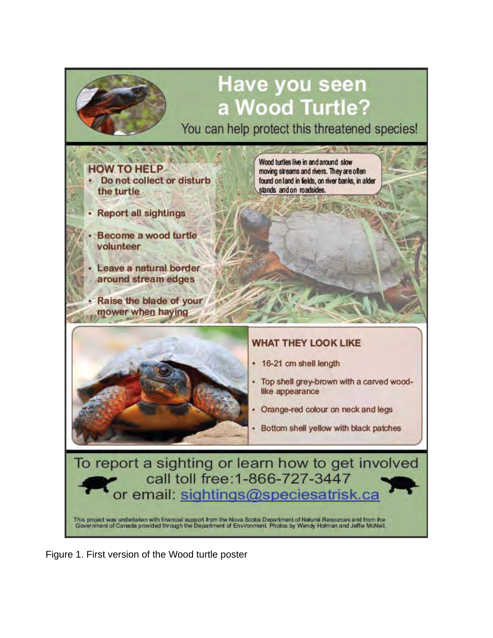

Figure 1. First version of the Wood turtle poster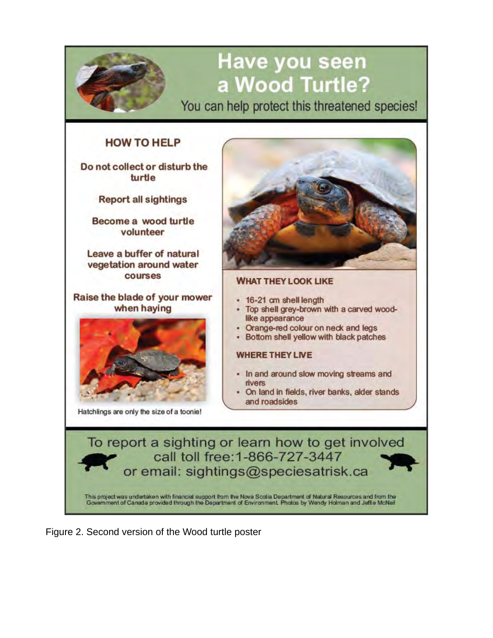

Figure 2. Second version of the Wood turtle poster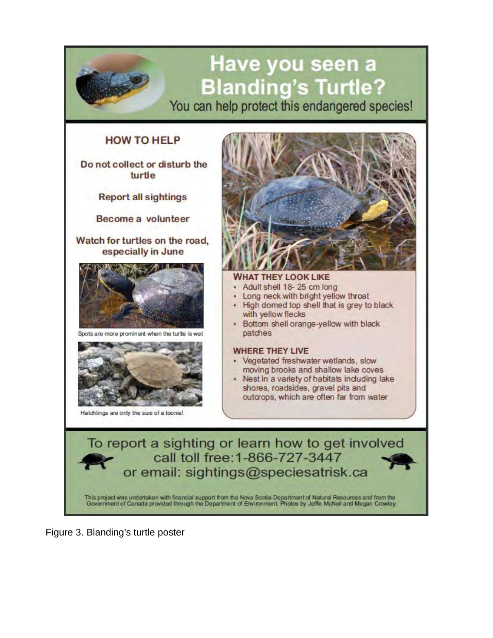

Figure 3. Blanding's turtle poster